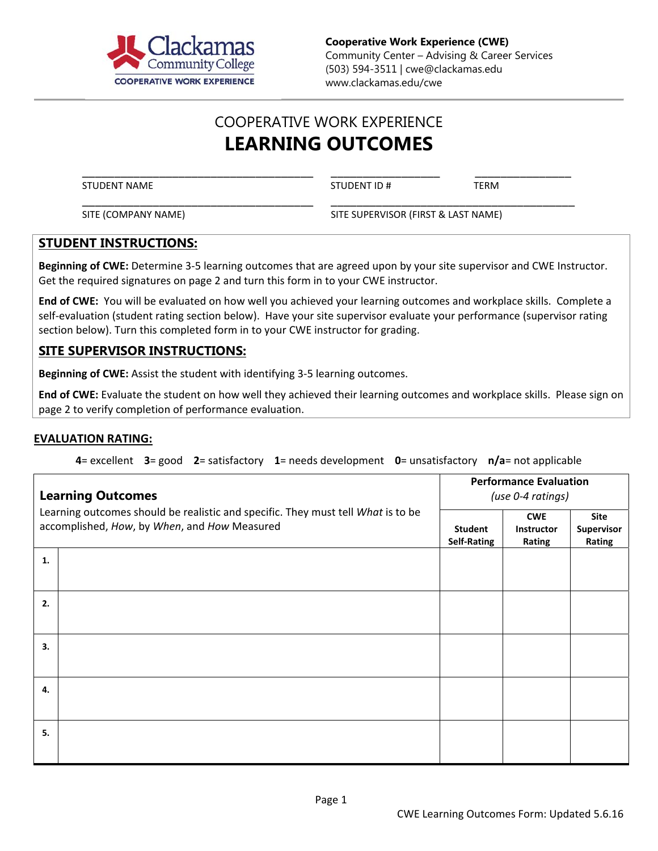

**Cooperative Work Experience (CWE)**  Community Center – Advising & Career Services (503) 594-3511 | cwe@clackamas.edu www.clackamas.edu/cwe

## COOPERATIVE WORK EXPERIENCE **LEARNING OUTCOMES**

\_\_\_\_\_\_\_\_\_\_\_\_\_\_\_\_\_\_\_\_\_\_\_\_\_\_\_\_\_\_\_\_\_\_\_\_ \_\_\_\_\_\_\_\_\_\_\_\_\_\_\_\_\_ \_\_\_\_\_\_\_\_\_\_\_\_\_\_\_ STUDENT NAME TERM

\_\_\_\_\_\_\_\_\_\_\_\_\_\_\_\_\_\_\_\_\_\_\_\_\_\_\_\_\_\_\_\_\_\_\_\_ \_\_\_\_\_\_\_\_\_\_\_\_\_\_\_\_\_\_\_\_\_\_\_\_\_\_\_\_\_\_\_\_\_\_\_\_\_\_ SITE (COMPANY NAME) SITE SUPERVISOR (FIRST & LAST NAME)

## **STUDENT INSTRUCTIONS:**

**Beginning of CWE:** Determine 3‐5 learning outcomes that are agreed upon by your site supervisor and CWE Instructor. Get the required signatures on page 2 and turn this form in to your CWE instructor.

**End of CWE:** You will be evaluated on how well you achieved your learning outcomes and workplace skills. Complete a self-evaluation (student rating section below). Have your site supervisor evaluate your performance (supervisor rating section below). Turn this completed form in to your CWE instructor for grading.

## **SITE SUPERVISOR INSTRUCTIONS:**

**Beginning of CWE:** Assist the student with identifying 3‐5 learning outcomes.

**End of CWE:** Evaluate the student on how well they achieved their learning outcomes and workplace skills. Please sign on page 2 to verify completion of performance evaluation.

## **EVALUATION RATING:**

**4**= excellent **3**= good **2**= satisfactory  **1**= needs development **0**= unsatisfactory **n/a**= not applicable

| <b>Learning Outcomes</b><br>Learning outcomes should be realistic and specific. They must tell What is to be<br>accomplished, How, by When, and How Measured |  | <b>Performance Evaluation</b><br>(use 0-4 ratings) |                                    |                                     |
|--------------------------------------------------------------------------------------------------------------------------------------------------------------|--|----------------------------------------------------|------------------------------------|-------------------------------------|
|                                                                                                                                                              |  | Student<br><b>Self-Rating</b>                      | <b>CWE</b><br>Instructor<br>Rating | <b>Site</b><br>Supervisor<br>Rating |
| 1.                                                                                                                                                           |  |                                                    |                                    |                                     |
| 2.                                                                                                                                                           |  |                                                    |                                    |                                     |
| 3.                                                                                                                                                           |  |                                                    |                                    |                                     |
| 4.                                                                                                                                                           |  |                                                    |                                    |                                     |
| 5.                                                                                                                                                           |  |                                                    |                                    |                                     |